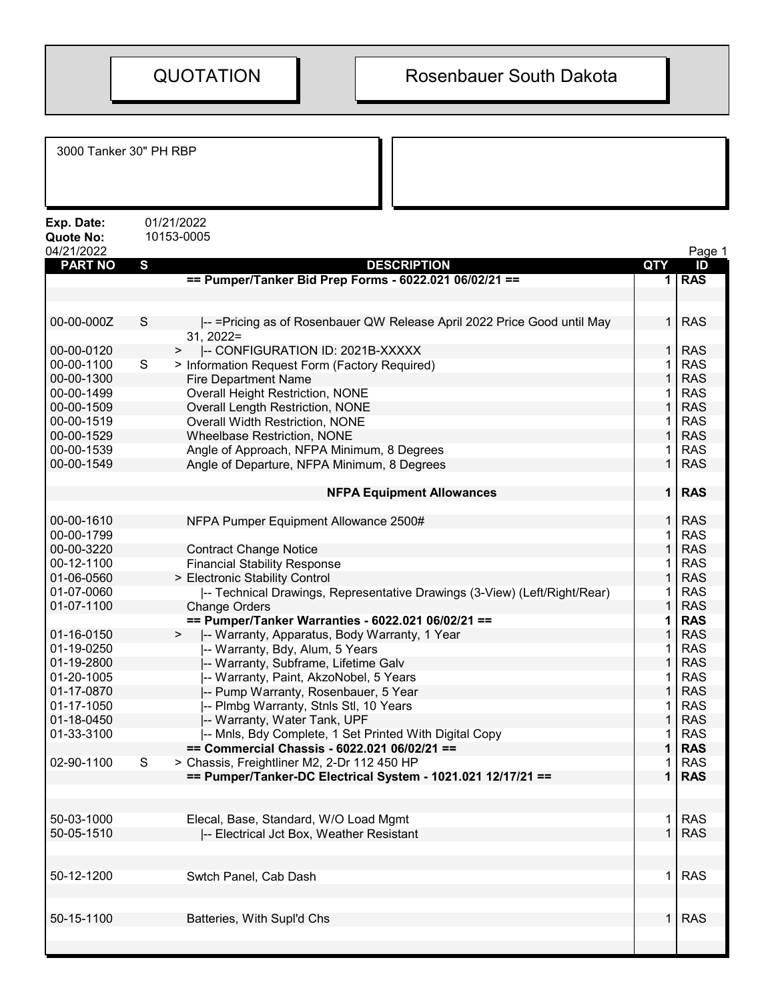| 3000 Tanker 30" PH RBP                       |                                                                                               |              |                          |
|----------------------------------------------|-----------------------------------------------------------------------------------------------|--------------|--------------------------|
| Exp. Date:<br><b>Quote No:</b><br>04/21/2022 | 01/21/2022<br>10153-0005                                                                      |              | Page 1                   |
| <b>PART NO</b>                               | $\mathbf{s}$<br><b>DESCRIPTION</b>                                                            | <b>QTY</b>   | ID                       |
|                                              | == Pumper/Tanker Bid Prep Forms - 6022.021 06/02/21 ==                                        | 1            | <b>RAS</b>               |
| 00-00-000Z                                   | S<br>-- = Pricing as of Rosenbauer QW Release April 2022 Price Good until May<br>$31, 2022 =$ | $\mathbf{1}$ | <b>RAS</b>               |
| 00-00-0120                                   | -- CONFIGURATION ID: 2021B-XXXXX<br>>                                                         |              | <b>RAS</b>               |
| 00-00-1100                                   | S<br>> Information Request Form (Factory Required)                                            |              | <b>RAS</b>               |
| 00-00-1300                                   | <b>Fire Department Name</b>                                                                   |              | <b>RAS</b>               |
| 00-00-1499                                   | <b>Overall Height Restriction, NONE</b>                                                       |              | <b>RAS</b>               |
| 00-00-1509                                   | <b>Overall Length Restriction, NONE</b>                                                       |              | <b>RAS</b>               |
| 00-00-1519                                   | <b>Overall Width Restriction, NONE</b>                                                        |              | <b>RAS</b>               |
| 00-00-1529                                   | <b>Wheelbase Restriction, NONE</b>                                                            |              | <b>RAS</b>               |
| 00-00-1539<br>00-00-1549                     | Angle of Approach, NFPA Minimum, 8 Degrees<br>Angle of Departure, NFPA Minimum, 8 Degrees     |              | <b>RAS</b><br><b>RAS</b> |
|                                              | <b>NFPA Equipment Allowances</b>                                                              |              | <b>RAS</b>               |
| 00-00-1610                                   | NFPA Pumper Equipment Allowance 2500#                                                         |              | <b>RAS</b>               |
| 00-00-1799                                   |                                                                                               |              | <b>RAS</b>               |
| 00-00-3220                                   | <b>Contract Change Notice</b>                                                                 |              | <b>RAS</b>               |
| 00-12-1100                                   | <b>Financial Stability Response</b>                                                           |              | <b>RAS</b>               |
| 01-06-0560                                   | > Electronic Stability Control                                                                |              | <b>RAS</b>               |
| 01-07-0060                                   | -- Technical Drawings, Representative Drawings (3-View) (Left/Right/Rear)                     |              | <b>RAS</b>               |
| 01-07-1100                                   | <b>Change Orders</b>                                                                          |              | <b>RAS</b>               |
|                                              | == Pumper/Tanker Warranties - 6022.021 06/02/21 ==                                            |              | <b>RAS</b>               |
| 01-16-0150                                   | -- Warranty, Apparatus, Body Warranty, 1 Year<br>$\,>$                                        |              | <b>RAS</b>               |
| 01-19-0250                                   | -- Warranty, Bdy, Alum, 5 Years                                                               |              | <b>RAS</b>               |
| 01-19-2800                                   | -- Warranty, Subframe, Lifetime Galv                                                          |              | <b>RAS</b>               |
| 01-20-1005<br>01-17-0870                     | -- Warranty, Paint, AkzoNobel, 5 Years                                                        |              | <b>RAS</b>               |
|                                              | -- Pump Warranty, Rosenbauer, 5 Year                                                          |              | <b>RAS</b>               |
| 01-17-1050<br>01-18-0450                     | -- Plmbg Warranty, Stnls Stl, 10 Years<br>-- Warranty, Water Tank, UPF                        |              | <b>RAS</b><br><b>RAS</b> |
| 01-33-3100                                   | -- Mnls, Bdy Complete, 1 Set Printed With Digital Copy                                        |              | <b>RAS</b>               |
|                                              | == Commercial Chassis - 6022.021 06/02/21 ==                                                  |              | <b>RAS</b>               |
| 02-90-1100                                   | $\mathsf{S}$<br>> Chassis, Freightliner M2, 2-Dr 112 450 HP                                   |              | <b>RAS</b>               |
|                                              | == Pumper/Tanker-DC Electrical System - 1021.021 12/17/21 ==                                  |              | <b>RAS</b>               |
|                                              |                                                                                               |              |                          |
| 50-03-1000                                   | Elecal, Base, Standard, W/O Load Mgmt                                                         |              | <b>RAS</b>               |
| 50-05-1510                                   | -- Electrical Jct Box, Weather Resistant                                                      |              | <b>RAS</b>               |
| 50-12-1200                                   | Swtch Panel, Cab Dash                                                                         | 1            | <b>RAS</b>               |
| 50-15-1100                                   | Batteries, With Supl'd Chs                                                                    |              | <b>RAS</b>               |
|                                              |                                                                                               |              |                          |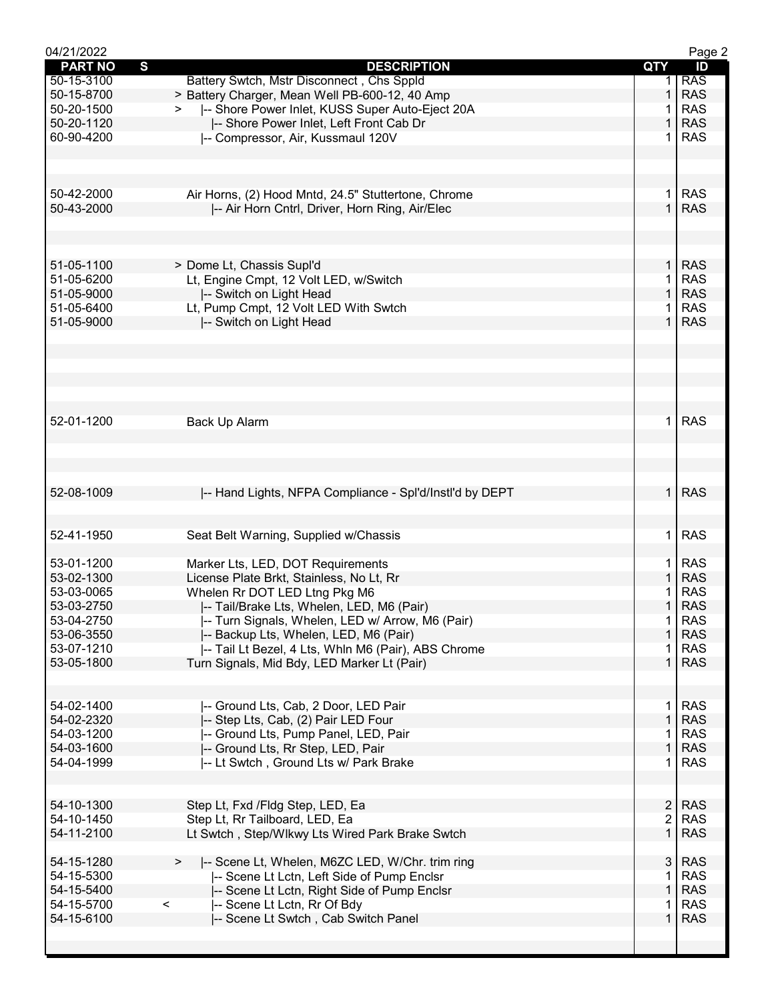| 04/21/2022                     |                                                         |                | Page 2     |
|--------------------------------|---------------------------------------------------------|----------------|------------|
| $\mathbf{s}$<br><b>PART NO</b> | <b>DESCRIPTION</b>                                      | QTY            | ID         |
| 50-15-3100                     | Battery Swtch, Mstr Disconnect, Chs Sppld               |                | <b>RAS</b> |
| 50-15-8700                     | > Battery Charger, Mean Well PB-600-12, 40 Amp          | 1              | <b>RAS</b> |
| 50-20-1500                     | -- Shore Power Inlet, KUSS Super Auto-Eject 20A         | 1              | <b>RAS</b> |
| 50-20-1120                     | -- Shore Power Inlet, Left Front Cab Dr                 | $\mathbf{1}$   | <b>RAS</b> |
| 60-90-4200                     | -- Compressor, Air, Kussmaul 120V                       | 1              | <b>RAS</b> |
|                                |                                                         |                |            |
|                                |                                                         |                |            |
|                                |                                                         |                |            |
| 50-42-2000                     | Air Horns, (2) Hood Mntd, 24.5" Stuttertone, Chrome     | $\mathbf 1$    | <b>RAS</b> |
| 50-43-2000                     | -- Air Horn Cntrl, Driver, Horn Ring, Air/Elec          | $\mathbf{1}$   | <b>RAS</b> |
|                                |                                                         |                |            |
|                                |                                                         |                |            |
|                                |                                                         |                |            |
| 51-05-1100                     | > Dome Lt, Chassis Supl'd                               | $\mathbf{1}$   | <b>RAS</b> |
| 51-05-6200                     | Lt, Engine Cmpt, 12 Volt LED, w/Switch                  | 1              | <b>RAS</b> |
| 51-05-9000                     | -- Switch on Light Head                                 | 1              | <b>RAS</b> |
| 51-05-6400                     | Lt, Pump Cmpt, 12 Volt LED With Swtch                   | 1              | <b>RAS</b> |
| 51-05-9000                     | -- Switch on Light Head                                 | 1              | <b>RAS</b> |
|                                |                                                         |                |            |
|                                |                                                         |                |            |
|                                |                                                         |                |            |
|                                |                                                         |                |            |
|                                |                                                         |                |            |
|                                |                                                         |                |            |
| 52-01-1200                     | Back Up Alarm                                           | 1.             | <b>RAS</b> |
|                                |                                                         |                |            |
|                                |                                                         |                |            |
|                                |                                                         |                |            |
|                                |                                                         |                |            |
| 52-08-1009                     | -- Hand Lights, NFPA Compliance - Spl'd/Instl'd by DEPT | 1 <sup>1</sup> | <b>RAS</b> |
|                                |                                                         |                |            |
|                                |                                                         |                |            |
| 52-41-1950                     | Seat Belt Warning, Supplied w/Chassis                   | $\mathbf{1}$   | <b>RAS</b> |
|                                |                                                         |                |            |
| 53-01-1200                     | Marker Lts, LED, DOT Requirements                       | 1.             | <b>RAS</b> |
| 53-02-1300                     | License Plate Brkt, Stainless, No Lt, Rr                | $\mathbf{1}$   | <b>RAS</b> |
| 53-03-0065                     | Whelen Rr DOT LED Ltng Pkg M6                           | 1              | <b>RAS</b> |
| 53-03-2750                     | -- Tail/Brake Lts, Whelen, LED, M6 (Pair)               | $\mathbf 1$    | <b>RAS</b> |
| 53-04-2750                     | -- Turn Signals, Whelen, LED w/ Arrow, M6 (Pair)        | 1              | <b>RAS</b> |
| 53-06-3550                     | -- Backup Lts, Whelen, LED, M6 (Pair)                   | 1              | <b>RAS</b> |
| 53-07-1210                     | -- Tail Lt Bezel, 4 Lts, Whln M6 (Pair), ABS Chrome     | 1              | <b>RAS</b> |
| 53-05-1800                     | Turn Signals, Mid Bdy, LED Marker Lt (Pair)             | $\mathbf{1}$   | <b>RAS</b> |
|                                |                                                         |                |            |
|                                |                                                         |                |            |
| 54-02-1400                     | I-- Ground Lts, Cab, 2 Door, LED Pair                   | $\mathbf 1$    | <b>RAS</b> |
| 54-02-2320                     | -- Step Lts, Cab, (2) Pair LED Four                     | $\mathbf{1}$   | <b>RAS</b> |
| 54-03-1200                     | -- Ground Lts, Pump Panel, LED, Pair                    | 1              | <b>RAS</b> |
| 54-03-1600                     | -- Ground Lts, Rr Step, LED, Pair                       | 1              | <b>RAS</b> |
| 54-04-1999                     | -- Lt Swtch, Ground Lts w/ Park Brake                   | 1              | <b>RAS</b> |
|                                |                                                         |                |            |
|                                |                                                         |                |            |
| 54-10-1300                     | Step Lt, Fxd /Fldg Step, LED, Ea                        | $\overline{2}$ | <b>RAS</b> |
| 54-10-1450                     | Step Lt, Rr Tailboard, LED, Ea                          | $\overline{2}$ | <b>RAS</b> |
| 54-11-2100                     | Lt Swtch, Step/Wlkwy Lts Wired Park Brake Swtch         | 1              | <b>RAS</b> |
|                                |                                                         |                |            |
|                                |                                                         | 3              | <b>RAS</b> |
| 54-15-1280                     | -- Scene Lt, Whelen, M6ZC LED, W/Chr. trim ring<br>>    |                |            |
| 54-15-5300                     | -- Scene Lt Lctn, Left Side of Pump Enclsr              | 1              | <b>RAS</b> |
| 54-15-5400                     | -- Scene Lt Lctn, Right Side of Pump Enclsr             | $\mathbf{1}$   | <b>RAS</b> |
| 54-15-5700                     | $\,<$<br>-- Scene Lt Lctn, Rr Of Bdy                    | 1              | <b>RAS</b> |
| 54-15-6100                     | -- Scene Lt Swtch, Cab Switch Panel                     | 1.             | <b>RAS</b> |
|                                |                                                         |                |            |
|                                |                                                         |                |            |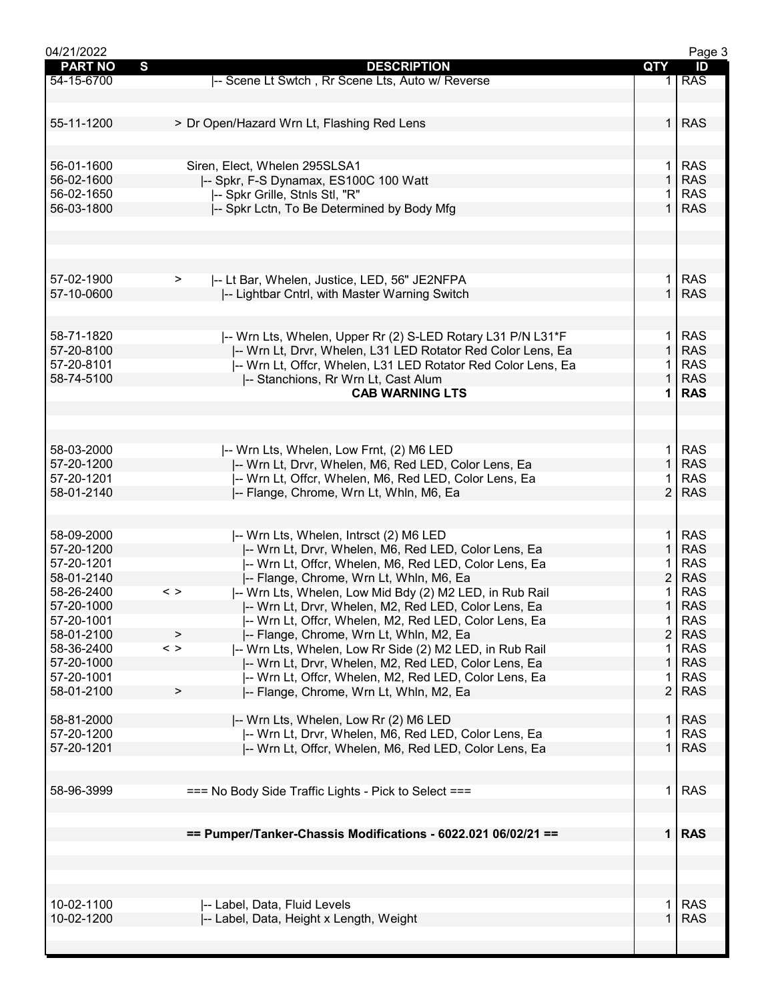| 04/21/2022     |                                                                          |                | Page 3     |
|----------------|--------------------------------------------------------------------------|----------------|------------|
| <b>PART NO</b> | S<br><b>DESCRIPTION</b>                                                  | QTY            | ID         |
| 54-15-6700     | -- Scene Lt Swtch, Rr Scene Lts, Auto w/ Reverse                         |                | <b>RAS</b> |
|                |                                                                          |                |            |
|                |                                                                          |                |            |
| 55-11-1200     | > Dr Open/Hazard Wrn Lt, Flashing Red Lens                               | $\mathbf 1$    | <b>RAS</b> |
|                |                                                                          |                |            |
|                |                                                                          |                |            |
|                |                                                                          |                |            |
| 56-01-1600     | Siren, Elect, Whelen 295SLSA1                                            | $\mathbf 1$    | <b>RAS</b> |
| 56-02-1600     | -- Spkr, F-S Dynamax, ES100C 100 Watt                                    | $\mathbf{1}$   | <b>RAS</b> |
| 56-02-1650     | -- Spkr Grille, Stnls Stl, "R"                                           | 1              | <b>RAS</b> |
| 56-03-1800     | -- Spkr Lctn, To Be Determined by Body Mfg                               | $\mathbf{1}$   | <b>RAS</b> |
|                |                                                                          |                |            |
|                |                                                                          |                |            |
|                |                                                                          |                |            |
|                |                                                                          |                |            |
| 57-02-1900     | $\geq$<br>-- Lt Bar, Whelen, Justice, LED, 56" JE2NFPA                   | $\mathbf 1$    | <b>RAS</b> |
| 57-10-0600     | -- Lightbar Cntrl, with Master Warning Switch                            | $\mathbf{1}$   | <b>RAS</b> |
|                |                                                                          |                |            |
|                |                                                                          |                |            |
|                |                                                                          |                |            |
| 58-71-1820     | -- Wrn Lts, Whelen, Upper Rr (2) S-LED Rotary L31 P/N L31*F              | 1.             | <b>RAS</b> |
| 57-20-8100     | -- Wrn Lt, Drvr, Whelen, L31 LED Rotator Red Color Lens, Ea              | $\mathbf{1}$   | <b>RAS</b> |
| 57-20-8101     | I-- Wrn Lt, Offcr, Whelen, L31 LED Rotator Red Color Lens, Ea            |                | <b>RAS</b> |
| 58-74-5100     | -- Stanchions, Rr Wrn Lt, Cast Alum                                      | 1              | <b>RAS</b> |
|                | <b>CAB WARNING LTS</b>                                                   |                | <b>RAS</b> |
|                |                                                                          |                |            |
|                |                                                                          |                |            |
|                |                                                                          |                |            |
| 58-03-2000     | -- Wrn Lts, Whelen, Low Frnt, (2) M6 LED                                 | 1.             | <b>RAS</b> |
| 57-20-1200     |                                                                          | $\mathbf{1}$   | <b>RAS</b> |
|                | -- Wrn Lt, Drvr, Whelen, M6, Red LED, Color Lens, Ea                     |                |            |
| 57-20-1201     | -- Wrn Lt, Offcr, Whelen, M6, Red LED, Color Lens, Ea                    |                | <b>RAS</b> |
| 58-01-2140     | -- Flange, Chrome, Wrn Lt, Whln, M6, Ea                                  | $\overline{2}$ | <b>RAS</b> |
|                |                                                                          |                |            |
|                |                                                                          |                |            |
| 58-09-2000     | -- Wrn Lts, Whelen, Intrsct (2) M6 LED                                   | $\mathbf 1$    | <b>RAS</b> |
| 57-20-1200     | -- Wrn Lt, Drvr, Whelen, M6, Red LED, Color Lens, Ea                     | $\mathbf{1}$   | <b>RAS</b> |
| 57-20-1201     | -- Wrn Lt, Offcr, Whelen, M6, Red LED, Color Lens, Ea                    |                | <b>RAS</b> |
| 58-01-2140     | I-- Flange, Chrome, Wrn Lt, Whln, M6, Ea                                 | $\overline{c}$ | <b>RAS</b> |
| 58-26-2400     | -- Wrn Lts, Whelen, Low Mid Bdy (2) M2 LED, in Rub Rail<br>$\langle$ $>$ |                | <b>RAS</b> |
| 57-20-1000     | -- Wrn Lt, Drvr, Whelen, M2, Red LED, Color Lens, Ea                     | $\mathbf 1$    | <b>RAS</b> |
| 57-20-1001     |                                                                          | 1              | <b>RAS</b> |
|                | -- Wrn Lt, Offcr, Whelen, M2, Red LED, Color Lens, Ea                    |                |            |
| 58-01-2100     | -- Flange, Chrome, Wrn Lt, Whln, M2, Ea<br>$\geq$                        | $\overline{2}$ | <b>RAS</b> |
| 58-36-2400     | -- Wrn Lts, Whelen, Low Rr Side (2) M2 LED, in Rub Rail<br>$\langle$ >   | 1              | <b>RAS</b> |
| 57-20-1000     | -- Wrn Lt, Drvr, Whelen, M2, Red LED, Color Lens, Ea                     | 1              | <b>RAS</b> |
| 57-20-1001     | -- Wrn Lt, Offcr, Whelen, M2, Red LED, Color Lens, Ea                    |                | <b>RAS</b> |
| 58-01-2100     | I-- Flange, Chrome, Wrn Lt, Whln, M2, Ea<br>>                            | $\overline{2}$ | <b>RAS</b> |
|                |                                                                          |                |            |
| 58-81-2000     | -- Wrn Lts, Whelen, Low Rr (2) M6 LED                                    | $\mathbf{1}$   | <b>RAS</b> |
| 57-20-1200     | I-- Wrn Lt, Drvr, Whelen, M6, Red LED, Color Lens, Ea                    | 1              | <b>RAS</b> |
| 57-20-1201     | I-- Wrn Lt, Offcr, Whelen, M6, Red LED, Color Lens, Ea                   | $\mathbf 1$    | <b>RAS</b> |
|                |                                                                          |                |            |
|                |                                                                          |                |            |
| 58-96-3999     |                                                                          | 1.             | <b>RAS</b> |
|                | === No Body Side Traffic Lights - Pick to Select ===                     |                |            |
|                |                                                                          |                |            |
|                |                                                                          |                |            |
|                | == Pumper/Tanker-Chassis Modifications - 6022.021 06/02/21 ==            |                | $1$ RAS    |
|                |                                                                          |                |            |
|                |                                                                          |                |            |
|                |                                                                          |                |            |
|                |                                                                          |                |            |
| 10-02-1100     | -- Label, Data, Fluid Levels                                             | 1              | <b>RAS</b> |
| 10-02-1200     | -- Label, Data, Height x Length, Weight                                  | $\mathbf{1}$   | <b>RAS</b> |
|                |                                                                          |                |            |
|                |                                                                          |                |            |
|                |                                                                          |                |            |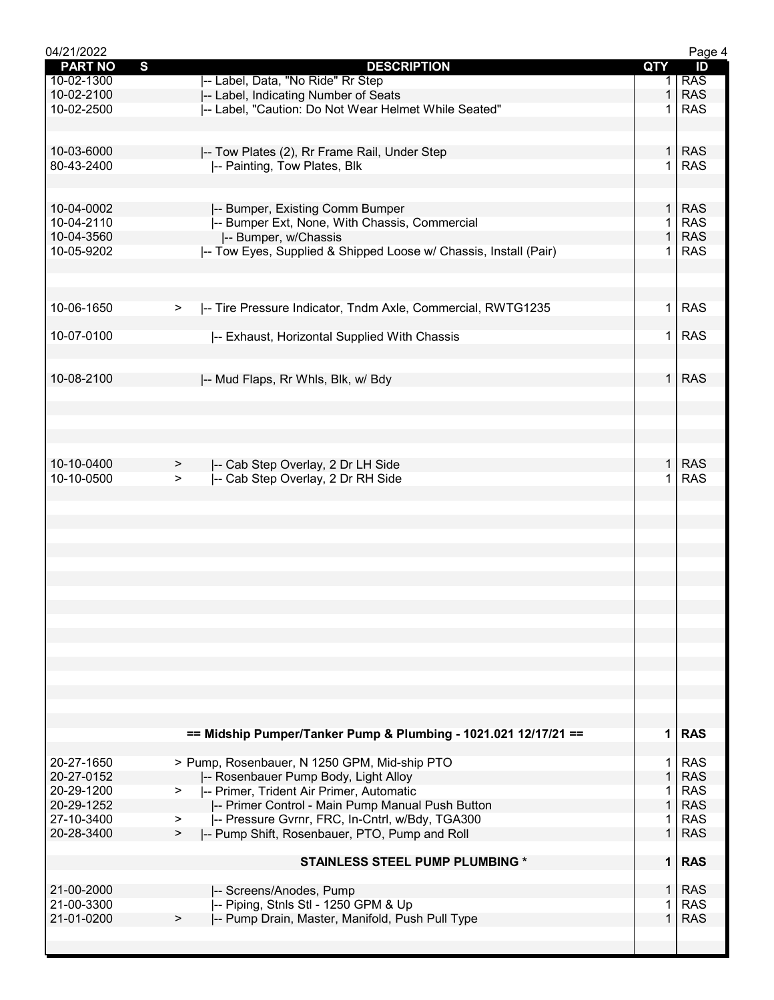| 04/21/2022          |                                                                                  |                | Page 4     |
|---------------------|----------------------------------------------------------------------------------|----------------|------------|
| S<br><b>PART NO</b> | <b>DESCRIPTION</b>                                                               | QTY            | ID         |
| 10-02-1300          | -- Label, Data, "No Ride" Rr Step                                                | 1.             | <b>RAS</b> |
| 10-02-2100          | -- Label, Indicating Number of Seats                                             | 1              | <b>RAS</b> |
| 10-02-2500          | -- Label, "Caution: Do Not Wear Helmet While Seated"                             | 1              | <b>RAS</b> |
|                     |                                                                                  |                |            |
|                     |                                                                                  |                |            |
| 10-03-6000          | -- Tow Plates (2), Rr Frame Rail, Under Step                                     | $\mathbf{1}$   | <b>RAS</b> |
| 80-43-2400          | -- Painting, Tow Plates, Blk                                                     | 1              | <b>RAS</b> |
|                     |                                                                                  |                |            |
| 10-04-0002          |                                                                                  | $\mathbf{1}$   | <b>RAS</b> |
| 10-04-2110          | -- Bumper, Existing Comm Bumper<br>-- Bumper Ext, None, With Chassis, Commercial | 1              | <b>RAS</b> |
| 10-04-3560          | -- Bumper, w/Chassis                                                             | $\mathbf{1}$   | <b>RAS</b> |
| 10-05-9202          | -- Tow Eyes, Supplied & Shipped Loose w/ Chassis, Install (Pair)                 | 1              | <b>RAS</b> |
|                     |                                                                                  |                |            |
|                     |                                                                                  |                |            |
|                     |                                                                                  |                |            |
| 10-06-1650          | -- Tire Pressure Indicator, Tndm Axle, Commercial, RWTG1235<br>$\geq$            | 1              | <b>RAS</b> |
|                     |                                                                                  |                |            |
| 10-07-0100          | -- Exhaust, Horizontal Supplied With Chassis                                     | 1.             | <b>RAS</b> |
|                     |                                                                                  |                |            |
|                     |                                                                                  |                |            |
| 10-08-2100          | -- Mud Flaps, Rr Whls, Blk, w/ Bdy                                               | $\mathbf{1}$   | <b>RAS</b> |
|                     |                                                                                  |                |            |
|                     |                                                                                  |                |            |
|                     |                                                                                  |                |            |
|                     |                                                                                  |                |            |
| 10-10-0400          |                                                                                  | 1.             | <b>RAS</b> |
| 10-10-0500          | -- Cab Step Overlay, 2 Dr LH Side<br>><br>-- Cab Step Overlay, 2 Dr RH Side      | 1              | <b>RAS</b> |
|                     | ➤                                                                                |                |            |
|                     |                                                                                  |                |            |
|                     |                                                                                  |                |            |
|                     |                                                                                  |                |            |
|                     |                                                                                  |                |            |
|                     |                                                                                  |                |            |
|                     |                                                                                  |                |            |
|                     |                                                                                  |                |            |
|                     |                                                                                  |                |            |
|                     |                                                                                  |                |            |
|                     |                                                                                  |                |            |
|                     |                                                                                  |                |            |
|                     |                                                                                  |                |            |
|                     |                                                                                  |                |            |
|                     |                                                                                  |                |            |
|                     |                                                                                  |                |            |
|                     |                                                                                  |                |            |
|                     | == Midship Pumper/Tanker Pump & Plumbing - 1021.021 12/17/21 ==                  |                | $1$ RAS    |
|                     |                                                                                  |                |            |
| 20-27-1650          | > Pump, Rosenbauer, N 1250 GPM, Mid-ship PTO                                     | 1              | <b>RAS</b> |
| 20-27-0152          | -- Rosenbauer Pump Body, Light Alloy                                             | $\mathbf{1}$   | <b>RAS</b> |
| 20-29-1200          | -- Primer, Trident Air Primer, Automatic<br>$\geq$                               | 1              | <b>RAS</b> |
| 20-29-1252          | -- Primer Control - Main Pump Manual Push Button                                 | $\mathbf{1}$   | <b>RAS</b> |
| 27-10-3400          | -- Pressure Gvrnr, FRC, In-Cntrl, w/Bdy, TGA300<br>$\geq$                        | 1              | <b>RAS</b> |
| 20-28-3400          | -- Pump Shift, Rosenbauer, PTO, Pump and Roll<br>⋗                               | $\mathbf{1}$   | <b>RAS</b> |
|                     | <b>STAINLESS STEEL PUMP PLUMBING *</b>                                           | 1 <sup>1</sup> | <b>RAS</b> |
|                     |                                                                                  |                |            |
| 21-00-2000          | -- Screens/Anodes, Pump                                                          | $\mathbf{1}$   | <b>RAS</b> |
| 21-00-3300          | -- Piping, Stnls Stl - 1250 GPM & Up                                             | 1              | <b>RAS</b> |
| 21-01-0200          | -- Pump Drain, Master, Manifold, Push Pull Type<br>>                             | 1              | <b>RAS</b> |
|                     |                                                                                  |                |            |
|                     |                                                                                  |                |            |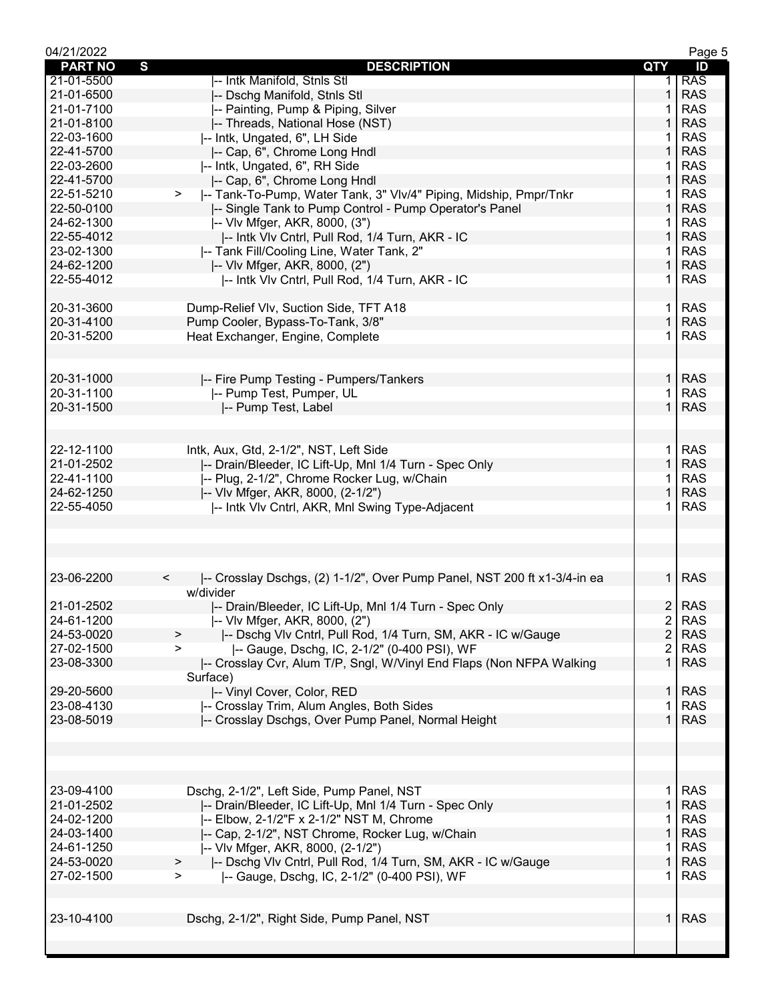| 04/21/2022     |                                                                                     |                         | Page 5     |
|----------------|-------------------------------------------------------------------------------------|-------------------------|------------|
| <b>PART NO</b> | S<br><b>DESCRIPTION</b>                                                             | QTY                     | ID         |
| 21-01-5500     | -- Intk Manifold, Stnls Stl                                                         | 1.                      | <b>RAS</b> |
| 21-01-6500     | -- Dschg Manifold, Stnls Stl                                                        | 1                       | <b>RAS</b> |
| 21-01-7100     | -- Painting, Pump & Piping, Silver                                                  |                         | <b>RAS</b> |
| 21-01-8100     | -- Threads, National Hose (NST)                                                     |                         | <b>RAS</b> |
| 22-03-1600     | -- Intk, Ungated, 6", LH Side                                                       |                         | <b>RAS</b> |
| 22-41-5700     | -- Cap, 6", Chrome Long Hndl                                                        | 1                       | <b>RAS</b> |
| 22-03-2600     | -- Intk, Ungated, 6", RH Side                                                       | 1                       | <b>RAS</b> |
| 22-41-5700     | I-- Cap, 6", Chrome Long Hndl                                                       | $\mathbf{1}$            | <b>RAS</b> |
| 22-51-5210     | -- Tank-To-Pump, Water Tank, 3" VIv/4" Piping, Midship, Pmpr/Tnkr<br>>              | 1.                      | <b>RAS</b> |
| 22-50-0100     |                                                                                     | 1                       | <b>RAS</b> |
|                | -- Single Tank to Pump Control - Pump Operator's Panel                              |                         |            |
| 24-62-1300     | -- VIv Mfger, AKR, 8000, (3")                                                       | 1                       | <b>RAS</b> |
| 22-55-4012     | -- Intk VIv Cntrl, Pull Rod, 1/4 Turn, AKR - IC                                     | 1                       | <b>RAS</b> |
| 23-02-1300     | -- Tank Fill/Cooling Line, Water Tank, 2"                                           | 1                       | <b>RAS</b> |
| 24-62-1200     | -- VIv Mfger, AKR, 8000, (2")                                                       | $\mathbf{1}$            | <b>RAS</b> |
| 22-55-4012     | -- Intk VIv Cntrl, Pull Rod, 1/4 Turn, AKR - IC                                     | 1.                      | <b>RAS</b> |
|                |                                                                                     |                         |            |
| 20-31-3600     | Dump-Relief Vlv, Suction Side, TFT A18                                              | $\mathbf{1}$            | <b>RAS</b> |
| 20-31-4100     | Pump Cooler, Bypass-To-Tank, 3/8"                                                   | $\mathbf{1}$            | <b>RAS</b> |
| 20-31-5200     | Heat Exchanger, Engine, Complete                                                    | 1                       | <b>RAS</b> |
|                |                                                                                     |                         |            |
|                |                                                                                     |                         |            |
| 20-31-1000     | -- Fire Pump Testing - Pumpers/Tankers                                              | $\mathbf{1}$            | <b>RAS</b> |
| 20-31-1100     | -- Pump Test, Pumper, UL                                                            | 1.                      | <b>RAS</b> |
| 20-31-1500     | -- Pump Test, Label                                                                 | $\mathbf{1}$            | <b>RAS</b> |
|                |                                                                                     |                         |            |
|                |                                                                                     |                         |            |
| 22-12-1100     | Intk, Aux, Gtd, 2-1/2", NST, Left Side                                              | 1.                      | <b>RAS</b> |
| 21-01-2502     | -- Drain/Bleeder, IC Lift-Up, Mnl 1/4 Turn - Spec Only                              | $\mathbf{1}$            | <b>RAS</b> |
| 22-41-1100     | -- Plug, 2-1/2", Chrome Rocker Lug, w/Chain                                         | 1                       | <b>RAS</b> |
| 24-62-1250     | -- VIv Mfger, AKR, 8000, (2-1/2")                                                   | $\mathbf{1}$            | <b>RAS</b> |
| 22-55-4050     | -- Intk VIv Cntrl, AKR, Mnl Swing Type-Adjacent                                     | 1.                      | <b>RAS</b> |
|                |                                                                                     |                         |            |
|                |                                                                                     |                         |            |
|                |                                                                                     |                         |            |
|                |                                                                                     |                         |            |
|                |                                                                                     |                         |            |
| 23-06-2200     | -- Crosslay Dschgs, (2) 1-1/2", Over Pump Panel, NST 200 ft x1-3/4-in ea<br>$\,<\,$ | 1 <sup>1</sup>          | <b>RAS</b> |
|                | w/divider                                                                           |                         |            |
| 21-01-2502     | -- Drain/Bleeder, IC Lift-Up, Mnl 1/4 Turn - Spec Only                              |                         | 2 RAS      |
| 24-61-1200     | -- VIv Mfger, AKR, 8000, (2")                                                       | $\overline{c}$          | <b>RAS</b> |
| 24-53-0020     | -- Dschg VIv Cntrl, Pull Rod, 1/4 Turn, SM, AKR - IC w/Gauge<br>>                   | $\overline{2}$          | <b>RAS</b> |
| 27-02-1500     | -- Gauge, Dschg, IC, 2-1/2" (0-400 PSI), WF<br>$\geq$                               | $\overline{\mathbf{c}}$ | <b>RAS</b> |
| 23-08-3300     | -- Crosslay Cvr, Alum T/P, Sngl, W/Vinyl End Flaps (Non NFPA Walking                | 1                       | <b>RAS</b> |
|                | Surface)                                                                            |                         |            |
| 29-20-5600     | -- Vinyl Cover, Color, RED                                                          | $\mathbf{1}$            | <b>RAS</b> |
| 23-08-4130     | -- Crosslay Trim, Alum Angles, Both Sides                                           | 1                       | <b>RAS</b> |
| 23-08-5019     | -- Crosslay Dschgs, Over Pump Panel, Normal Height                                  | 1                       | <b>RAS</b> |
|                |                                                                                     |                         |            |
|                |                                                                                     |                         |            |
|                |                                                                                     |                         |            |
|                |                                                                                     |                         |            |
| 23-09-4100     | Dschg, 2-1/2", Left Side, Pump Panel, NST                                           | 1.                      | <b>RAS</b> |
| 21-01-2502     | -- Drain/Bleeder, IC Lift-Up, Mnl 1/4 Turn - Spec Only                              | 1                       | <b>RAS</b> |
| 24-02-1200     | -- Elbow, 2-1/2"F x 2-1/2" NST M, Chrome                                            | 1                       | <b>RAS</b> |
| 24-03-1400     | -- Cap, 2-1/2", NST Chrome, Rocker Lug, w/Chain                                     | $\mathbf{1}$            | <b>RAS</b> |
| 24-61-1250     | -- VIv Mfger, AKR, 8000, (2-1/2")                                                   | 1                       | <b>RAS</b> |
| 24-53-0020     | I-- Dschg VIv Cntrl, Pull Rod, 1/4 Turn, SM, AKR - IC w/Gauge                       | $\mathbf{1}$            | <b>RAS</b> |
| 27-02-1500     | ⋗                                                                                   | 1.                      | <b>RAS</b> |
|                | -- Gauge, Dschg, IC, 2-1/2" (0-400 PSI), WF<br>>                                    |                         |            |
|                |                                                                                     |                         |            |
|                |                                                                                     |                         |            |
| 23-10-4100     | Dschg, 2-1/2", Right Side, Pump Panel, NST                                          | 1 <sup>1</sup>          | <b>RAS</b> |
|                |                                                                                     |                         |            |
|                |                                                                                     |                         |            |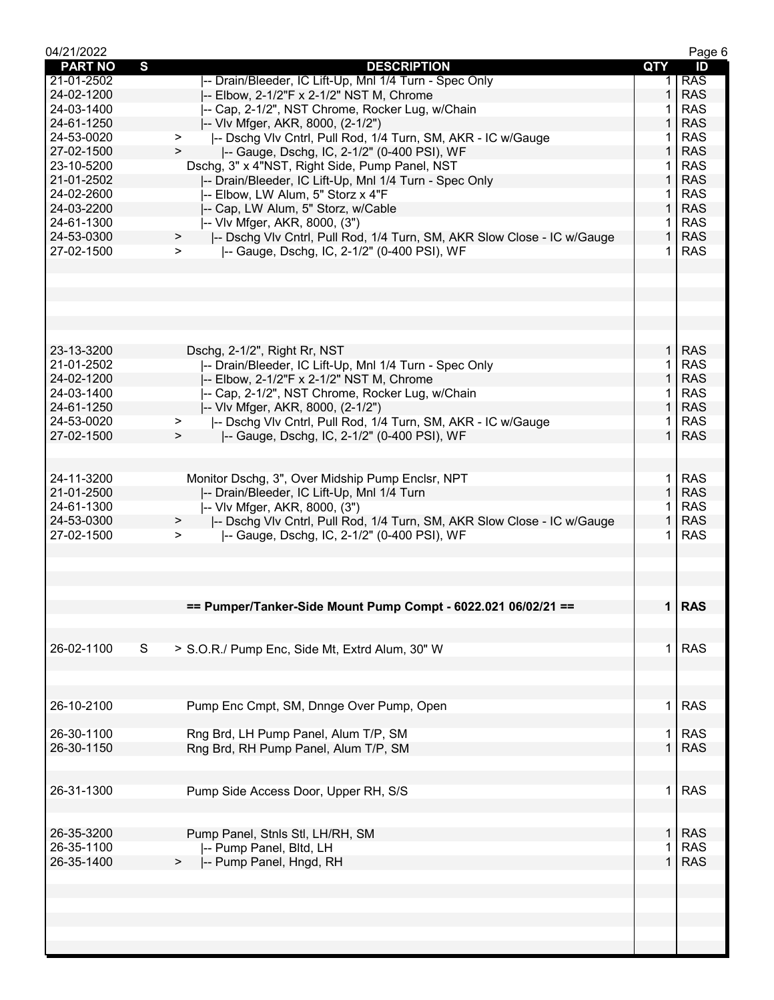| 04/21/2022     |                                                                                   |              | Page 6     |
|----------------|-----------------------------------------------------------------------------------|--------------|------------|
| <b>PART NO</b> | S<br><b>DESCRIPTION</b>                                                           | QTY          | ID         |
| 21-01-2502     | -- Drain/Bleeder, IC Lift-Up, Mnl 1/4 Turn - Spec Only                            |              | <b>RAS</b> |
| 24-02-1200     | -- Elbow, 2-1/2"F x 2-1/2" NST M, Chrome                                          | $\mathbf{1}$ | <b>RAS</b> |
| 24-03-1400     | -- Cap, 2-1/2", NST Chrome, Rocker Lug, w/Chain                                   | 1            | <b>RAS</b> |
| 24-61-1250     | -- VIv Mfger, AKR, 8000, (2-1/2")                                                 | 1            | <b>RAS</b> |
| 24-53-0020     | -- Dschg VIv Cntrl, Pull Rod, 1/4 Turn, SM, AKR - IC w/Gauge<br>$\geq$            |              | <b>RAS</b> |
| 27-02-1500     | -- Gauge, Dschg, IC, 2-1/2" (0-400 PSI), WF<br>$\geq$                             | 1            | <b>RAS</b> |
| 23-10-5200     | Dschg, 3" x 4"NST, Right Side, Pump Panel, NST                                    | 1.           | <b>RAS</b> |
| 21-01-2502     | -- Drain/Bleeder, IC Lift-Up, Mnl 1/4 Turn - Spec Only                            | $\mathbf 1$  | <b>RAS</b> |
| 24-02-2600     | -- Elbow, LW Alum, 5" Storz x 4"F                                                 | 1.           | <b>RAS</b> |
| 24-03-2200     | -- Cap, LW Alum, 5" Storz, w/Cable                                                | $\mathbf{1}$ | <b>RAS</b> |
| 24-61-1300     | -- VIv Mfger, AKR, 8000, (3")                                                     | 1.           | <b>RAS</b> |
| 24-53-0300     | -- Dschg Vlv Cntrl, Pull Rod, 1/4 Turn, SM, AKR Slow Close - IC w/Gauge<br>$\geq$ | $\mathbf{1}$ | <b>RAS</b> |
| 27-02-1500     | -- Gauge, Dschg, IC, 2-1/2" (0-400 PSI), WF<br>➤                                  | 1.           | <b>RAS</b> |
|                |                                                                                   |              |            |
|                |                                                                                   |              |            |
|                |                                                                                   |              |            |
|                |                                                                                   |              |            |
|                |                                                                                   |              |            |
|                |                                                                                   |              |            |
| 23-13-3200     | Dschg, 2-1/2", Right Rr, NST                                                      | $\mathbf{1}$ | <b>RAS</b> |
| 21-01-2502     | -- Drain/Bleeder, IC Lift-Up, Mnl 1/4 Turn - Spec Only                            |              | <b>RAS</b> |
| 24-02-1200     |                                                                                   | $\mathbf{1}$ | <b>RAS</b> |
|                | -- Elbow, 2-1/2"F x 2-1/2" NST M, Chrome                                          |              |            |
| 24-03-1400     | -- Cap, 2-1/2", NST Chrome, Rocker Lug, w/Chain                                   | 1            | <b>RAS</b> |
| 24-61-1250     | I-- VIv Mfger, AKR, 8000, (2-1/2")                                                | $\mathbf{1}$ | <b>RAS</b> |
| 24-53-0020     | -- Dschg Vlv Cntrl, Pull Rod, 1/4 Turn, SM, AKR - IC w/Gauge<br>⋗                 | 1            | <b>RAS</b> |
| 27-02-1500     | -- Gauge, Dschg, IC, 2-1/2" (0-400 PSI), WF<br>$\mathbf{r}$                       | $\mathbf{1}$ | <b>RAS</b> |
|                |                                                                                   |              |            |
|                |                                                                                   |              |            |
| 24-11-3200     | Monitor Dschg, 3", Over Midship Pump Enclsr, NPT                                  | 1.           | <b>RAS</b> |
| 21-01-2500     | -- Drain/Bleeder, IC Lift-Up, Mnl 1/4 Turn                                        | $\mathbf{1}$ | <b>RAS</b> |
| 24-61-1300     | -- VIv Mfger, AKR, 8000, (3")                                                     | 1            | <b>RAS</b> |
| 24-53-0300     | -- Dschg VIv Cntrl, Pull Rod, 1/4 Turn, SM, AKR Slow Close - IC w/Gauge<br>$\geq$ | $\mathbf{1}$ | <b>RAS</b> |
| 27-02-1500     | -- Gauge, Dschg, IC, 2-1/2" (0-400 PSI), WF<br>$\geq$                             | 1.           | <b>RAS</b> |
|                |                                                                                   |              |            |
|                |                                                                                   |              |            |
|                |                                                                                   |              |            |
|                |                                                                                   |              |            |
|                | == Pumper/Tanker-Side Mount Pump Compt - 6022.021 06/02/21 ==                     |              | 1 RAS      |
|                |                                                                                   |              |            |
|                |                                                                                   |              |            |
| 26-02-1100     | S<br>> S.O.R./ Pump Enc, Side Mt, Extrd Alum, 30" W                               | $\mathbf{1}$ | <b>RAS</b> |
|                |                                                                                   |              |            |
|                |                                                                                   |              |            |
|                |                                                                                   |              |            |
| 26-10-2100     | Pump Enc Cmpt, SM, Dnnge Over Pump, Open                                          | 1.           | <b>RAS</b> |
|                |                                                                                   |              |            |
| 26-30-1100     | Rng Brd, LH Pump Panel, Alum T/P, SM                                              | 1.           | <b>RAS</b> |
| 26-30-1150     | Rng Brd, RH Pump Panel, Alum T/P, SM                                              | $\mathbf 1$  | <b>RAS</b> |
|                |                                                                                   |              |            |
|                |                                                                                   |              |            |
| 26-31-1300     | Pump Side Access Door, Upper RH, S/S                                              | 1.           | <b>RAS</b> |
|                |                                                                                   |              |            |
|                |                                                                                   |              |            |
| 26-35-3200     | Pump Panel, Stnls Stl, LH/RH, SM                                                  | 1.           | <b>RAS</b> |
| 26-35-1100     | -- Pump Panel, Bltd, LH                                                           | 1            | <b>RAS</b> |
| 26-35-1400     | -- Pump Panel, Hngd, RH                                                           | 1            | <b>RAS</b> |
|                |                                                                                   |              |            |
|                |                                                                                   |              |            |
|                |                                                                                   |              |            |
|                |                                                                                   |              |            |
|                |                                                                                   |              |            |
|                |                                                                                   |              |            |
|                |                                                                                   |              |            |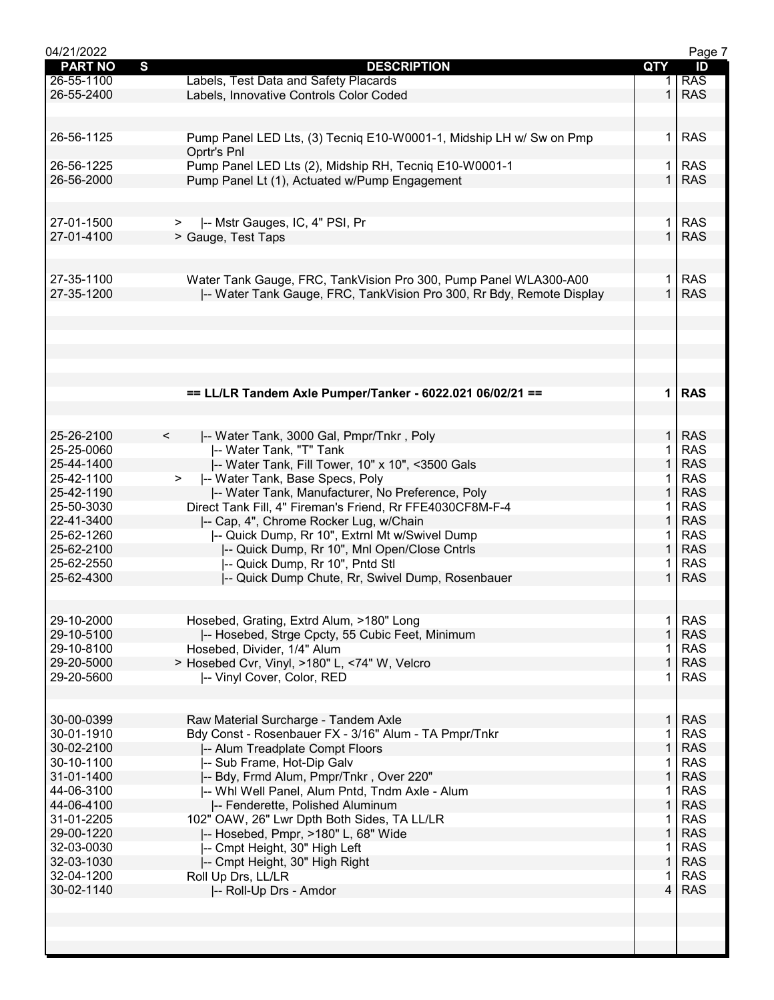| 04/21/2022     |                                                                      |                | Page 7     |
|----------------|----------------------------------------------------------------------|----------------|------------|
| <b>PART NO</b> | $\mathbf{s}$<br><b>DESCRIPTION</b>                                   | QTY            | ID         |
| 26-55-1100     | Labels, Test Data and Safety Placards                                |                | <b>RAS</b> |
| 26-55-2400     | Labels, Innovative Controls Color Coded                              | $\mathbf{1}$   | <b>RAS</b> |
|                |                                                                      |                |            |
|                |                                                                      |                |            |
| 26-56-1125     | Pump Panel LED Lts, (3) Tecniq E10-W0001-1, Midship LH w/ Sw on Pmp  | 1              | <b>RAS</b> |
|                | Oprtr's Pnl                                                          |                |            |
| 26-56-1225     | Pump Panel LED Lts (2), Midship RH, Tecniq E10-W0001-1               | 1.             | <b>RAS</b> |
| 26-56-2000     | Pump Panel Lt (1), Actuated w/Pump Engagement                        |                | <b>RAS</b> |
|                |                                                                      |                |            |
|                |                                                                      |                |            |
| 27-01-1500     | >  -- Mstr Gauges, IC, 4" PSI, Pr                                    | 1.             | <b>RAS</b> |
| 27-01-4100     | > Gauge, Test Taps                                                   | $\mathbf{1}$   | <b>RAS</b> |
|                |                                                                      |                |            |
|                |                                                                      |                |            |
|                |                                                                      |                |            |
| 27-35-1100     | Water Tank Gauge, FRC, TankVision Pro 300, Pump Panel WLA300-A00     | 1.             | <b>RAS</b> |
| 27-35-1200     | -- Water Tank Gauge, FRC, TankVision Pro 300, Rr Bdy, Remote Display | $\mathbf{1}$   | <b>RAS</b> |
|                |                                                                      |                |            |
|                |                                                                      |                |            |
|                |                                                                      |                |            |
|                |                                                                      |                |            |
|                |                                                                      |                |            |
|                |                                                                      |                |            |
|                | == LL/LR Tandem Axle Pumper/Tanker - 6022.021 06/02/21 ==            |                | 1 RAS      |
|                |                                                                      |                |            |
|                |                                                                      |                |            |
| 25-26-2100     | $\prec$<br>-- Water Tank, 3000 Gal, Pmpr/Tnkr, Poly                  | $\mathbf 1$    | <b>RAS</b> |
| 25-25-0060     | -- Water Tank, "T" Tank                                              | 1.             | <b>RAS</b> |
| 25-44-1400     | -- Water Tank, Fill Tower, 10" x 10", <3500 Gals                     | $\mathbf{1}$   | <b>RAS</b> |
| 25-42-1100     | -- Water Tank, Base Specs, Poly<br>$>$ $\sim$                        |                | <b>RAS</b> |
| 25-42-1190     | -- Water Tank, Manufacturer, No Preference, Poly                     | $\mathbf 1$    | <b>RAS</b> |
| 25-50-3030     | Direct Tank Fill, 4" Fireman's Friend, Rr FFE4030CF8M-F-4            |                | <b>RAS</b> |
| 22-41-3400     | -- Cap, 4", Chrome Rocker Lug, w/Chain                               | $\mathbf{1}$   | <b>RAS</b> |
| 25-62-1260     | -- Quick Dump, Rr 10", Extrnl Mt w/Swivel Dump                       |                | <b>RAS</b> |
| 25-62-2100     | -- Quick Dump, Rr 10", Mnl Open/Close Cntrls                         | $\mathbf{1}$   | <b>RAS</b> |
| 25-62-2550     | -- Quick Dump, Rr 10", Pntd Stl                                      | 1.             | <b>RAS</b> |
| 25-62-4300     | -- Quick Dump Chute, Rr, Swivel Dump, Rosenbauer                     | $\mathbf 1$    | <b>RAS</b> |
|                |                                                                      |                |            |
|                |                                                                      |                |            |
| 29-10-2000     | Hosebed, Grating, Extrd Alum, >180" Long                             | 1              | <b>RAS</b> |
| 29-10-5100     | -- Hosebed, Strge Cpcty, 55 Cubic Feet, Minimum                      | 1              | <b>RAS</b> |
| 29-10-8100     | Hosebed, Divider, 1/4" Alum                                          |                | <b>RAS</b> |
| 29-20-5000     |                                                                      | $\mathbf{1}$   | <b>RAS</b> |
|                | > Hosebed Cvr, Vinyl, >180" L, <74" W, Velcro                        | 1              | <b>RAS</b> |
| 29-20-5600     | -- Vinyl Cover, Color, RED                                           |                |            |
|                |                                                                      |                |            |
| 30-00-0399     |                                                                      |                | <b>RAS</b> |
|                | Raw Material Surcharge - Tandem Axle                                 | 1              |            |
| 30-01-1910     | Bdy Const - Rosenbauer FX - 3/16" Alum - TA Pmpr/Tnkr                | 1              | <b>RAS</b> |
| 30-02-2100     | -- Alum Treadplate Compt Floors                                      | 1              | <b>RAS</b> |
| 30-10-1100     | -- Sub Frame, Hot-Dip Galv                                           | 1              | <b>RAS</b> |
| 31-01-1400     | I-- Bdy, Frmd Alum, Pmpr/Tnkr, Over 220"                             | $\mathbf{1}$   | <b>RAS</b> |
| 44-06-3100     | -- Whl Well Panel, Alum Pntd, Tndm Axle - Alum                       | 1              | <b>RAS</b> |
| 44-06-4100     | -- Fenderette, Polished Aluminum                                     | $\mathbf{1}$   | <b>RAS</b> |
| 31-01-2205     | 102" OAW, 26" Lwr Dpth Both Sides, TA LL/LR                          | 1              | <b>RAS</b> |
| 29-00-1220     | -- Hosebed, Pmpr, >180" L, 68" Wide                                  | 1              | <b>RAS</b> |
| 32-03-0030     | -- Cmpt Height, 30" High Left                                        | 1              | <b>RAS</b> |
| 32-03-1030     | -- Cmpt Height, 30" High Right                                       | 1              | <b>RAS</b> |
| 32-04-1200     | Roll Up Drs, LL/LR                                                   | 1              | <b>RAS</b> |
| 30-02-1140     | -- Roll-Up Drs - Amdor                                               | $\overline{4}$ | <b>RAS</b> |
|                |                                                                      |                |            |
|                |                                                                      |                |            |
|                |                                                                      |                |            |
|                |                                                                      |                |            |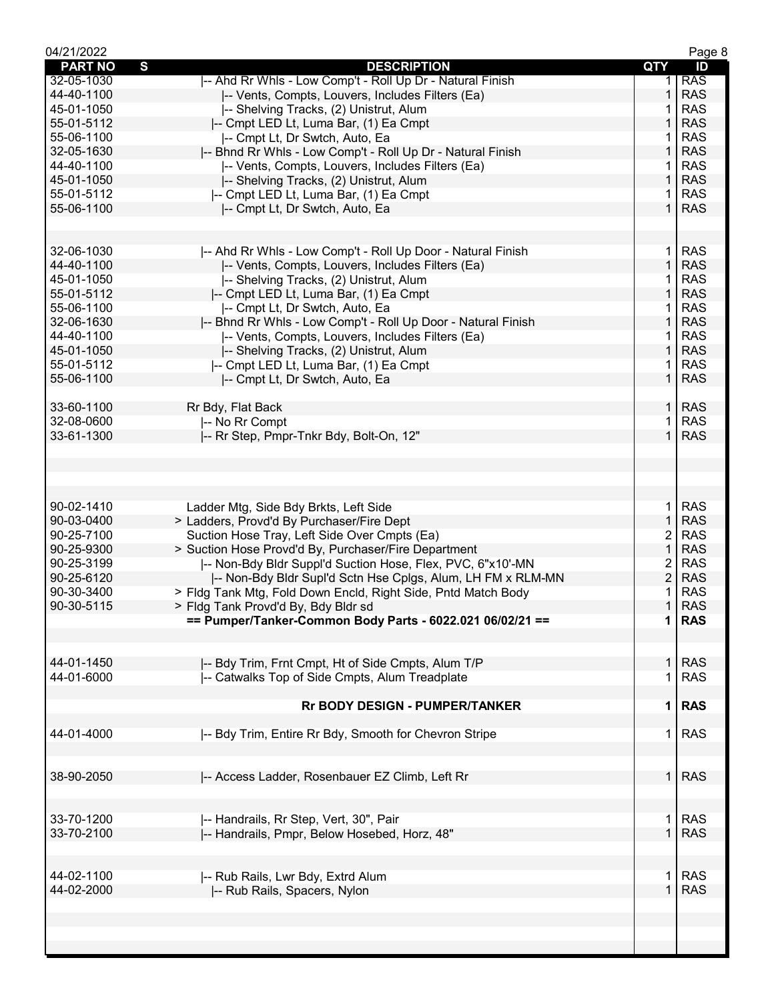| 04/21/2022     |                                                               |                | Page 8     |
|----------------|---------------------------------------------------------------|----------------|------------|
| <b>PART NO</b> | $\mathbf{s}$<br><b>DESCRIPTION</b>                            | <b>QTY</b>     | ID         |
| 32-05-1030     | -- Ahd Rr Whls - Low Comp't - Roll Up Dr - Natural Finish     | 1.             | <b>RAS</b> |
| 44-40-1100     | -- Vents, Compts, Louvers, Includes Filters (Ea)              | 1              | <b>RAS</b> |
| 45-01-1050     | -- Shelving Tracks, (2) Unistrut, Alum                        | 1              | <b>RAS</b> |
| 55-01-5112     | -- Cmpt LED Lt, Luma Bar, (1) Ea Cmpt                         | 1              | <b>RAS</b> |
| 55-06-1100     | -- Cmpt Lt, Dr Swtch, Auto, Ea                                | 1              | <b>RAS</b> |
| 32-05-1630     | -- Bhnd Rr Whls - Low Comp't - Roll Up Dr - Natural Finish    | 1              | <b>RAS</b> |
| 44-40-1100     | -- Vents, Compts, Louvers, Includes Filters (Ea)              | 1              | <b>RAS</b> |
| 45-01-1050     | -- Shelving Tracks, (2) Unistrut, Alum                        | $\mathbf{1}$   | <b>RAS</b> |
| 55-01-5112     | -- Cmpt LED Lt, Luma Bar, (1) Ea Cmpt                         | 1.             | <b>RAS</b> |
| 55-06-1100     | -- Cmpt Lt, Dr Swtch, Auto, Ea                                | $\mathbf 1$    | <b>RAS</b> |
|                |                                                               |                |            |
| 32-06-1030     | -- Ahd Rr Whls - Low Comp't - Roll Up Door - Natural Finish   | $\mathbf 1$    | <b>RAS</b> |
| 44-40-1100     | -- Vents, Compts, Louvers, Includes Filters (Ea)              | $\mathbf{1}$   | <b>RAS</b> |
| 45-01-1050     | -- Shelving Tracks, (2) Unistrut, Alum                        | 1              | <b>RAS</b> |
| 55-01-5112     | -- Cmpt LED Lt, Luma Bar, (1) Ea Cmpt                         | $\mathbf{1}$   | <b>RAS</b> |
| 55-06-1100     | -- Cmpt Lt, Dr Swtch, Auto, Ea                                | 1.             | <b>RAS</b> |
| 32-06-1630     | -- Bhnd Rr Whls - Low Comp't - Roll Up Door - Natural Finish  | $\mathbf{1}$   | <b>RAS</b> |
| 44-40-1100     |                                                               | 1              | <b>RAS</b> |
|                | -- Vents, Compts, Louvers, Includes Filters (Ea)              |                |            |
| 45-01-1050     | -- Shelving Tracks, (2) Unistrut, Alum                        | 1              | <b>RAS</b> |
| 55-01-5112     | -- Cmpt LED Lt, Luma Bar, (1) Ea Cmpt                         | 1              | <b>RAS</b> |
| 55-06-1100     | -- Cmpt Lt, Dr Swtch, Auto, Ea                                | $\mathbf 1$    | <b>RAS</b> |
| 33-60-1100     | Rr Bdy, Flat Back                                             | 1 <sup>1</sup> | <b>RAS</b> |
| 32-08-0600     | -- No Rr Compt                                                | $\mathbf{1}$   | <b>RAS</b> |
| 33-61-1300     | -- Rr Step, Pmpr-Tnkr Bdy, Bolt-On, 12"                       | $\mathbf{1}$   | <b>RAS</b> |
|                |                                                               |                |            |
| 90-02-1410     | Ladder Mtg, Side Bdy Brkts, Left Side                         | $\mathbf 1$    | <b>RAS</b> |
| 90-03-0400     | > Ladders, Provd'd By Purchaser/Fire Dept                     | $\mathbf{1}$   | <b>RAS</b> |
| 90-25-7100     | Suction Hose Tray, Left Side Over Cmpts (Ea)                  | 2              | <b>RAS</b> |
| 90-25-9300     | > Suction Hose Provd'd By, Purchaser/Fire Department          | 1              | <b>RAS</b> |
| 90-25-3199     | -- Non-Bdy Bldr Suppl'd Suction Hose, Flex, PVC, 6"x10'-MN    | 2              | <b>RAS</b> |
| 90-25-6120     | -- Non-Bdy Bldr Supl'd Sctn Hse Cplgs, Alum, LH FM x RLM-MN   | $\overline{c}$ | <b>RAS</b> |
| 90-30-3400     | > Fldg Tank Mtg, Fold Down Encld, Right Side, Pntd Match Body | 1              | <b>RAS</b> |
| 90-30-5115     | > Fldg Tank Provd'd By, Bdy Bldr sd                           | $\mathbf{1}$   | <b>RAS</b> |
|                | == Pumper/Tanker-Common Body Parts - 6022.021 06/02/21 ==     | 1 <sup>1</sup> | <b>RAS</b> |
|                |                                                               |                |            |
| 44-01-1450     | -- Bdy Trim, Frnt Cmpt, Ht of Side Cmpts, Alum T/P            | $\mathbf{1}$   | <b>RAS</b> |
| 44-01-6000     | -- Catwalks Top of Side Cmpts, Alum Treadplate                | 1              | <b>RAS</b> |
|                | <b>Rr BODY DESIGN - PUMPER/TANKER</b>                         | 1 <sup>1</sup> | <b>RAS</b> |
| 44-01-4000     | -- Bdy Trim, Entire Rr Bdy, Smooth for Chevron Stripe         | $\mathbf 1$    | <b>RAS</b> |
|                |                                                               |                |            |
| 38-90-2050     | -- Access Ladder, Rosenbauer EZ Climb, Left Rr                | 1 <sup>1</sup> | <b>RAS</b> |
| 33-70-1200     | -- Handrails, Rr Step, Vert, 30", Pair                        | $\mathbf 1$    | <b>RAS</b> |
| 33-70-2100     | -- Handrails, Pmpr, Below Hosebed, Horz, 48"                  | $\mathbf{1}$   | <b>RAS</b> |
| 44-02-1100     | -- Rub Rails, Lwr Bdy, Extrd Alum                             | $\mathbf 1$    | <b>RAS</b> |
| 44-02-2000     | -- Rub Rails, Spacers, Nylon                                  | $\mathbf{1}$   | <b>RAS</b> |
|                |                                                               |                |            |
|                |                                                               |                |            |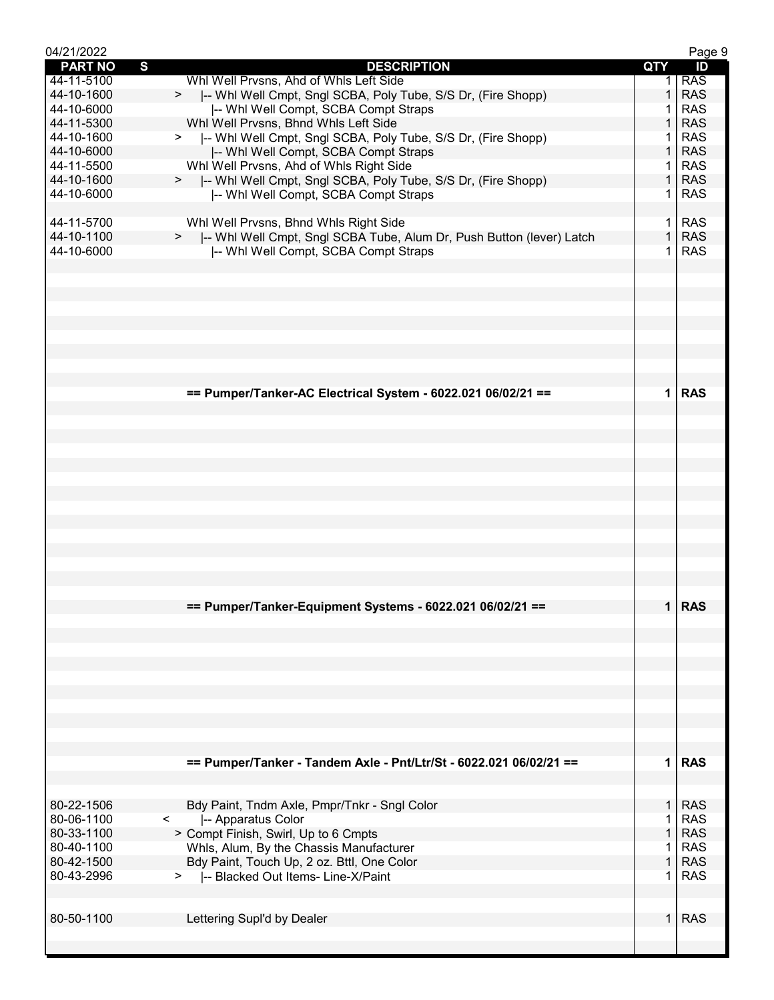| 04/21/2022               |                                                                                                         |              | Page 9                   |
|--------------------------|---------------------------------------------------------------------------------------------------------|--------------|--------------------------|
| <b>PART NO</b>           | S<br><b>DESCRIPTION</b>                                                                                 | QTY          | ID                       |
| 44-11-5100               | Whl Well Prvsns, Ahd of Whls Left Side                                                                  |              | <b>RAS</b>               |
| 44-10-1600               | >  -- Whi Well Cmpt, Sngl SCBA, Poly Tube, S/S Dr, (Fire Shopp)                                         | $\mathbf{1}$ | <b>RAS</b>               |
| 44-10-6000               | -- Whi Well Compt, SCBA Compt Straps                                                                    | 1<br>1       | <b>RAS</b><br><b>RAS</b> |
| 44-11-5300<br>44-10-1600 | Whl Well Prvsns, Bhnd Whls Left Side                                                                    |              | <b>RAS</b>               |
| 44-10-6000               | >  -- Whi Well Cmpt, Sngl SCBA, Poly Tube, S/S Dr, (Fire Shopp)<br>-- Whi Well Compt, SCBA Compt Straps | 1            | <b>RAS</b>               |
| 44-11-5500               | Whl Well Prvsns, Ahd of Whls Right Side                                                                 | 1.           | <b>RAS</b>               |
| 44-10-1600               | >  -- Whl Well Cmpt, Sngl SCBA, Poly Tube, S/S Dr, (Fire Shopp)                                         | 1            | <b>RAS</b>               |
| 44-10-6000               | -- Whi Well Compt, SCBA Compt Straps                                                                    | 1.           | <b>RAS</b>               |
|                          |                                                                                                         |              |                          |
| 44-11-5700               | Whl Well Prvsns, Bhnd Whls Right Side                                                                   | 1.           | <b>RAS</b>               |
| 44-10-1100               | >  -- Whl Well Cmpt, Sngl SCBA Tube, Alum Dr, Push Button (lever) Latch                                 | $\mathbf{1}$ | <b>RAS</b>               |
| 44-10-6000               | -- Whi Well Compt, SCBA Compt Straps                                                                    | 1.           | <b>RAS</b>               |
|                          |                                                                                                         |              |                          |
|                          |                                                                                                         |              |                          |
|                          |                                                                                                         |              |                          |
|                          |                                                                                                         |              |                          |
|                          |                                                                                                         |              |                          |
|                          |                                                                                                         |              |                          |
|                          |                                                                                                         |              |                          |
|                          |                                                                                                         |              |                          |
|                          | == Pumper/Tanker-AC Electrical System - 6022.021 06/02/21 ==                                            |              | $1$ RAS                  |
|                          |                                                                                                         |              |                          |
|                          |                                                                                                         |              |                          |
|                          |                                                                                                         |              |                          |
|                          |                                                                                                         |              |                          |
|                          |                                                                                                         |              |                          |
|                          |                                                                                                         |              |                          |
|                          |                                                                                                         |              |                          |
|                          |                                                                                                         |              |                          |
|                          |                                                                                                         |              |                          |
|                          |                                                                                                         |              |                          |
|                          |                                                                                                         |              |                          |
|                          |                                                                                                         |              |                          |
|                          |                                                                                                         |              |                          |
|                          | == Pumper/Tanker-Equipment Systems - 6022.021 06/02/21 ==                                               |              | 1 RAS                    |
|                          |                                                                                                         |              |                          |
|                          |                                                                                                         |              |                          |
|                          |                                                                                                         |              |                          |
|                          |                                                                                                         |              |                          |
|                          |                                                                                                         |              |                          |
|                          |                                                                                                         |              |                          |
|                          |                                                                                                         |              |                          |
|                          |                                                                                                         |              |                          |
|                          |                                                                                                         |              |                          |
|                          |                                                                                                         |              |                          |
|                          | == Pumper/Tanker - Tandem Axle - Pnt/Ltr/St - 6022.021 06/02/21 ==                                      |              | $1$ RAS                  |
|                          |                                                                                                         |              |                          |
| 80-22-1506               | Bdy Paint, Tndm Axle, Pmpr/Tnkr - Sngl Color                                                            | 1.           | <b>RAS</b>               |
| 80-06-1100               | -- Apparatus Color<br>$\prec$                                                                           | 1            | <b>RAS</b>               |
| 80-33-1100               | > Compt Finish, Swirl, Up to 6 Cmpts                                                                    | 1            | <b>RAS</b>               |
| 80-40-1100               | Whls, Alum, By the Chassis Manufacturer                                                                 | 1            | <b>RAS</b>               |
| 80-42-1500               | Bdy Paint, Touch Up, 2 oz. Bttl, One Color                                                              | $\mathbf{1}$ | <b>RAS</b>               |
| 80-43-2996               | >  -- Blacked Out Items- Line-X/Paint                                                                   | 1            | <b>RAS</b>               |
|                          |                                                                                                         |              |                          |
|                          |                                                                                                         |              |                          |
| 80-50-1100               | Lettering Supl'd by Dealer                                                                              | $\mathbf{1}$ | <b>RAS</b>               |
|                          |                                                                                                         |              |                          |
|                          |                                                                                                         |              |                          |